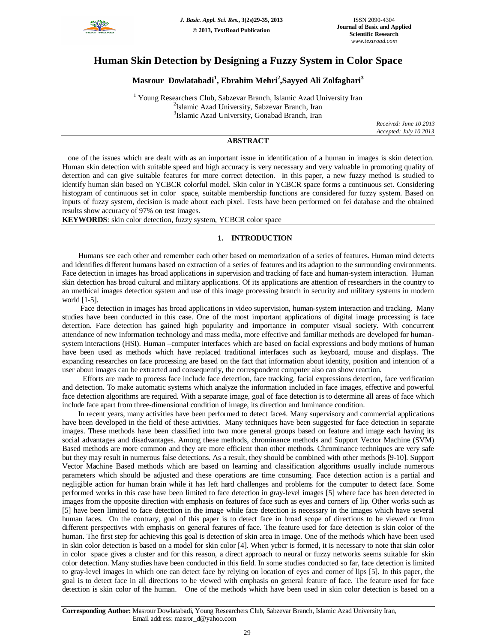

# **Human Skin Detection by Designing a Fuzzy System in Color Space**

# **Masrour Dowlatabadi<sup>1</sup> , Ebrahim Mehri<sup>2</sup> ,Sayyed Ali Zolfaghari<sup>3</sup>**

<sup>1</sup> Young Researchers Club, Sabzevar Branch, Islamic Azad University Iran 2 Islamic Azad University, Sabzevar Branch, Iran 3 Islamic Azad University, Gonabad Branch, Iran

*Received: June 10 2013 Accepted: July 10 2013*

## **ABSTRACT**

 one of the issues which are dealt with as an important issue in identification of a human in images is skin detection. Human skin detection with suitable speed and high accuracy is very necessary and very valuable in promoting quality of detection and can give suitable features for more correct detection. In this paper, a new fuzzy method is studied to identify human skin based on YCBCR colorful model. Skin color in YCBCR space forms a continuous set. Considering histogram of continuous set in color space, suitable membership functions are considered for fuzzy system. Based on inputs of fuzzy system, decision is made about each pixel. Tests have been performed on fei database and the obtained results show accuracy of 97% on test images.

**KEYWORDS**: skin color detection, fuzzy system, YCBCR color space

### **1. INTRODUCTION**

Humans see each other and remember each other based on memorization of a series of features. Human mind detects and identifies different humans based on extraction of a series of features and its adaption to the surrounding environments. Face detection in images has broad applications in supervision and tracking of face and human-system interaction. Human skin detection has broad cultural and military applications. Of its applications are attention of researchers in the country to an unethical images detection system and use of this image processing branch in security and military systems in modern world [1-5].

Face detection in images has broad applications in video supervision, human-system interaction and tracking. Many studies have been conducted in this case. One of the most important applications of digital image processing is face detection. Face detection has gained high popularity and importance in computer visual society. With concurrent attendance of new information technology and mass media, more effective and familiar methods are developed for humansystem interactions (HSI). Human –computer interfaces which are based on facial expressions and body motions of human have been used as methods which have replaced traditional interfaces such as keyboard, mouse and displays. The expanding researches on face processing are based on the fact that information about identity, position and intention of a user about images can be extracted and consequently, the correspondent computer also can show reaction.

Efforts are made to process face include face detection, face tracking, facial expressions detection, face verification and detection. To make automatic systems which analyze the information included in face images, effective and powerful face detection algorithms are required. With a separate image, goal of face detection is to determine all areas of face which include face apart from three-dimensional condition of image, its direction and luminance condition.

In recent years, many activities have been performed to detect face4. Many supervisory and commercial applications have been developed in the field of these activities. Many techniques have been suggested for face detection in separate images. These methods have been classified into two more general groups based on feature and image each having its social advantages and disadvantages. Among these methods, chrominance methods and Support Vector Machine (SVM) Based methods are more common and they are more efficient than other methods. Chrominance techniques are very safe but they may result in numerous false detections. As a result, they should be combined with other methods [9-10]. Support Vector Machine Based methods which are based on learning and classification algorithms usually include numerous parameters which should be adjusted and these operations are time consuming. Face detection action is a partial and negligible action for human brain while it has left hard challenges and problems for the computer to detect face. Some performed works in this case have been limited to face detection in gray-level images [5] where face has been detected in images from the opposite direction with emphasis on features of face such as eyes and corners of lip. Other works such as [5] have been limited to face detection in the image while face detection is necessary in the images which have several human faces. On the contrary, goal of this paper is to detect face in broad scope of directions to be viewed or from different perspectives with emphasis on general features of face. The feature used for face detection is skin color of the human. The first step for achieving this goal is detection of skin area in image. One of the methods which have been used in skin color detection is based on a model for skin color [4]. When ycbcr is formed, it is necessary to note that skin color in color space gives a cluster and for this reason, a direct approach to neural or fuzzy networks seems suitable for skin color detection. Many studies have been conducted in this field. In some studies conducted so far, face detection is limited to gray-level images in which one can detect face by relying on location of eyes and corner of lips [5]. In this paper, the goal is to detect face in all directions to be viewed with emphasis on general feature of face. The feature used for face detection is skin color of the human. One of the methods which have been used in skin color detection is based on a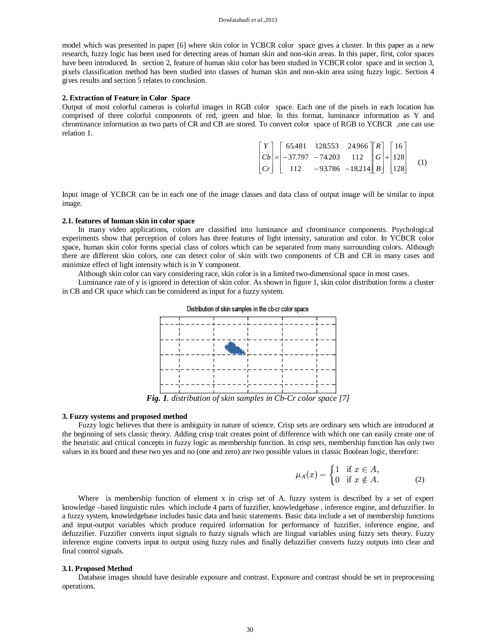model which was presented in paper [6] where skin color in YCBCR color space gives a cluster. In this paper as a new research, fuzzy logic has been used for detecting areas of human skin and non-skin areas. In this paper, first, color spaces have been introduced. In section 2, feature of human skin color has been studied in YCBCR color space and in section 3, pixels classification method has been studied into classes of human skin and non-skin area using fuzzy logic. Section 4 gives results and section 5 relates to conclusion.

#### **2. Extraction of Feature in Color Space**

Output of most colorful cameras is colorful images in RGB color space. Each one of the pixels in each location has comprised of three colorful components of red, green and blue. In this format, luminance information as Y and chrominance information as two parts of CR and CB are stored. To convert color space of RGB to YCBCR ,one can use relation 1.

|  |  | $\begin{bmatrix} Y \\ Cb \\ Cr \end{bmatrix} = \begin{bmatrix} 65.481 & 128553 & 24.966 \\ -37.797 & -74.203 & 112 \\ 112 & -93.786 & -18.214 \end{bmatrix} \begin{bmatrix} R \\ G \\ B \end{bmatrix} + \begin{bmatrix} 16 \\ 128 \\ 128 \end{bmatrix}$ (1) |  |  |  |
|--|--|-------------------------------------------------------------------------------------------------------------------------------------------------------------------------------------------------------------------------------------------------------------|--|--|--|
|  |  |                                                                                                                                                                                                                                                             |  |  |  |

Input image of YCBCR can be in each one of the image classes and data class of output image will be similar to input image.

### **2.1. features of human skin in color space**

In many video applications, colors are classified into luminance and chrominance components. Psychological experiments show that perception of colors has three features of light intensity, saturation and color. In YCBCR color space, human skin color forms special class of colors which can be separated from many surrounding colors. Although there are different skin colors, one can detect color of skin with two components of CB and CR in many cases and minimize effect of light intensity which is in Y component.

Although skin color can vary considering race, skin color is in a limited two-dimensional space in most cases.

Luminance rate of y is ignored in detection of skin color. As shown in figure 1, skin color distribution forms a cluster in CB and CR space which can be considered as input for a fuzzy system.



*Fig. 1. distribution of skin samples in Cb-Cr color space [7]*

#### **3. Fuzzy systems and proposed method**

Fuzzy logic believes that there is ambiguity in nature of science. Crisp sets are ordinary sets which are introduced at the beginning of sets classic theory. Adding crisp trait creates point of difference with which one can easily create one of the heuristic and critical concepts in fuzzy logic as membership function. In crisp sets, membership function has only two values in its board and these two yes and no (one and zero) are two possible values in classic Boolean logic, therefore:

$$
\mu_A(x) = \begin{cases} 1 & \text{if } x \in A, \\ 0 & \text{if } x \notin A. \end{cases} \tag{2}
$$

Where is membership function of element x in crisp set of A. fuzzy system is described by a set of expert knowledge –based linguistic rules which include 4 parts of fuzzifier, knowledgebase , inference engine, and defuzzifier. In a fuzzy system, knowledgebase includes basic data and basic statements. Basic data include a set of membership functions and input-output variables which produce required information for performance of fuzzifier, inference engine, and defuzzifier. Fuzzifier converts input signals to fuzzy signals which are lingual variables using fuzzy sets theory. Fuzzy inference engine converts input to output using fuzzy rules and finally defuzzifier converts fuzzy outputs into clear and final control signals.

#### **3.1. Proposed Method**

Database images should have desirable exposure and contrast. Exposure and contrast should be set in preprocessing operations.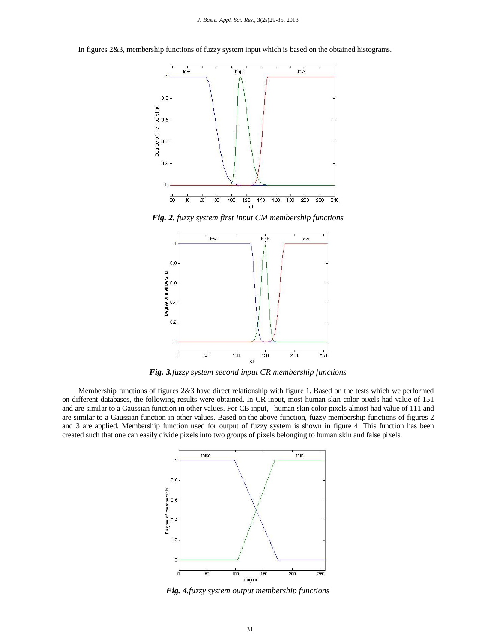In figures 2&3, membership functions of fuzzy system input which is based on the obtained histograms.



*Fig. 2. fuzzy system first input CM membership functions* 



*Fig. 3.fuzzy system second input CR membership functions*

Membership functions of figures 2&3 have direct relationship with figure 1. Based on the tests which we performed on different databases, the following results were obtained. In CR input, most human skin color pixels had value of 151 and are similar to a Gaussian function in other values. For CB input, human skin color pixels almost had value of 111 and are similar to a Gaussian function in other values. Based on the above function, fuzzy membership functions of figures 2 and 3 are applied. Membership function used for output of fuzzy system is shown in figure 4. This function has been created such that one can easily divide pixels into two groups of pixels belonging to human skin and false pixels.



*Fig. 4.fuzzy system output membership functions*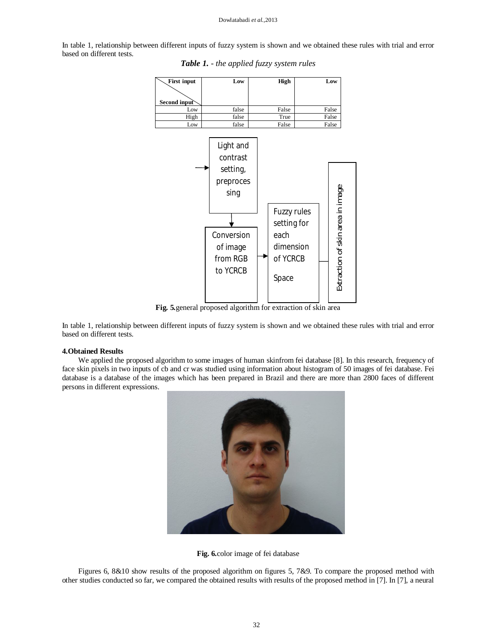#### Dowlatabadi *et al.,*2013

In table 1, relationship between different inputs of fuzzy system is shown and we obtained these rules with trial and error based on different tests.



*Table 1. - the applied fuzzy system rules*

**Fig. 5***.*general proposed algorithm for extraction of skin area

In table 1, relationship between different inputs of fuzzy system is shown and we obtained these rules with trial and error based on different tests.

#### **4.Obtained Results**

We applied the proposed algorithm to some images of human skinfrom fei database [8]. In this research, frequency of face skin pixels in two inputs of cb and cr was studied using information about histogram of 50 images of fei database. Fei database is a database of the images which has been prepared in Brazil and there are more than 2800 faces of different persons in different expressions.





Figures 6, 8&10 show results of the proposed algorithm on figures 5, 7&9. To compare the proposed method with other studies conducted so far, we compared the obtained results with results of the proposed method in [7]. In [7], a neural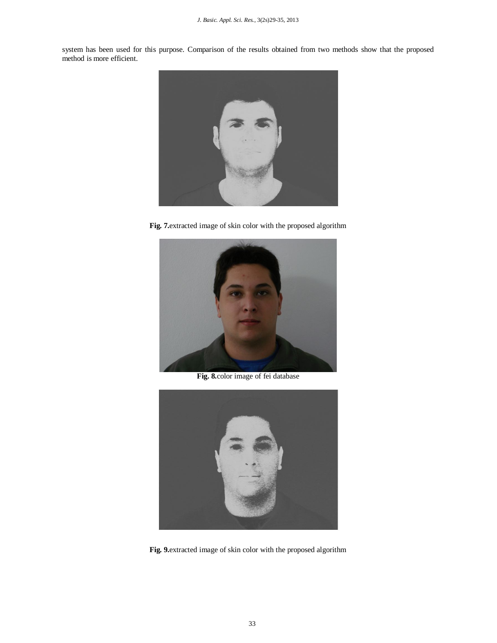system has been used for this purpose. Comparison of the results obtained from two methods show that the proposed method is more efficient.



**Fig. 7.**extracted image of skin color with the proposed algorithm



**Fig. 8.**color image of fei database



**Fig. 9.**extracted image of skin color with the proposed algorithm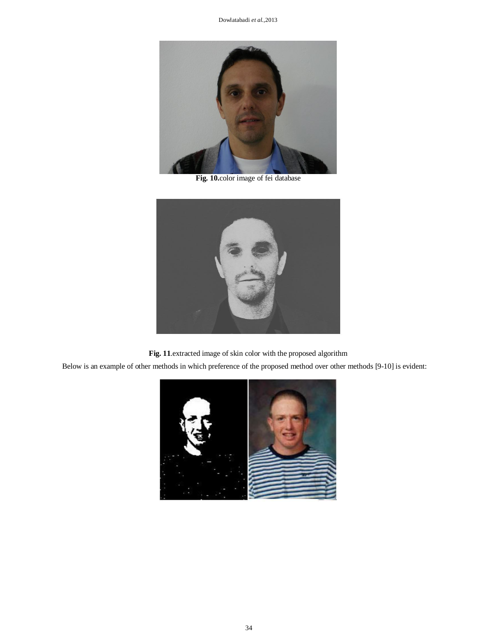

**Fig. 10.**color image of fei database



**Fig. 11**.extracted image of skin color with the proposed algorithm

Below is an example of other methods in which preference of the proposed method over other methods [9-10] is evident: